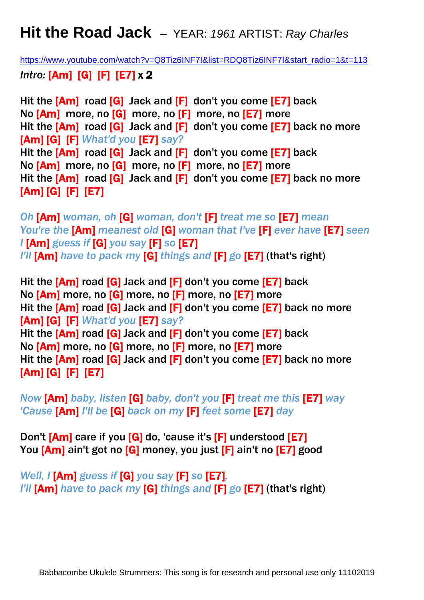## **Hit the Road Jack –** YEAR: *1961* ARTIST: *Ray Charles*

[https://www.youtube.com/watch?v=Q8Tiz6INF7I&list=RDQ8Tiz6INF7I&start\\_radio=1&t=113](https://www.youtube.com/watch?v=Q8Tiz6INF7I&list=RDQ8Tiz6INF7I&start_radio=1&t=113) *Intro:* [Am] [G] [F] [E7] x 2

Hit the [Am] road [G] Jack and [F] don't you come [E7] back No [Am] more, no [G] more, no [F] more, no [E7] more Hit the [Am] road [G] Jack and [F] don't you come [E7] back no more [Am] [G] [F] *What'd you* [E7] *say?* Hit the [Am] road [G] Jack and [F] don't you come [E7] back No [Am] more, no [G] more, no [F] more, no [E7] more Hit the [Am] road [G] Jack and [F] don't you come [E7] back no more [Am] [G] [F] [E7]

*Oh* [Am] *woman, oh* [G] *woman, don't* [F] *treat me so* [E7] *mean You're the* [Am] *meanest old* [G] *woman that I've* [F] *ever have* [E7] *seen I* [Am] *guess if* [G] *you say* [F] *so* [E7] *I'll* [Am] *have to pack my* [G] *things and* [F] *go* [E7] (that's right)

Hit the [Am] road [G] Jack and [F] don't you come [E7] back No [Am] more, no [G] more, no [F] more, no [E7] more Hit the [Am] road [G] Jack and [F] don't you come [E7] back no more [Am] [G] [F] *What'd you* [E7] *say?* Hit the [Am] road [G] Jack and [F] don't you come [E7] back No [Am] more, no [G] more, no [F] more, no [E7] more Hit the [Am] road [G] Jack and [F] don't you come [E7] back no more [Am] [G] [F] [E7]

*Now* [Am] *baby, listen* [G] *baby, don't you* [F] *treat me this* [E7] *way 'Cause* [Am] *I'll be* [G] *back on my* [F] *feet some* [E7] *day*

Don't [Am] care if you [G] do, 'cause it's [F] understood [E7] You [Am] ain't got no [G] money, you just [F] ain't no [E7] good

*Well, I* [Am] *guess if* [G] *you say* [F] *so* [E7]*, I'll* [Am] *have to pack my* [G] *things and* [F] *go* [E7] (that's right)